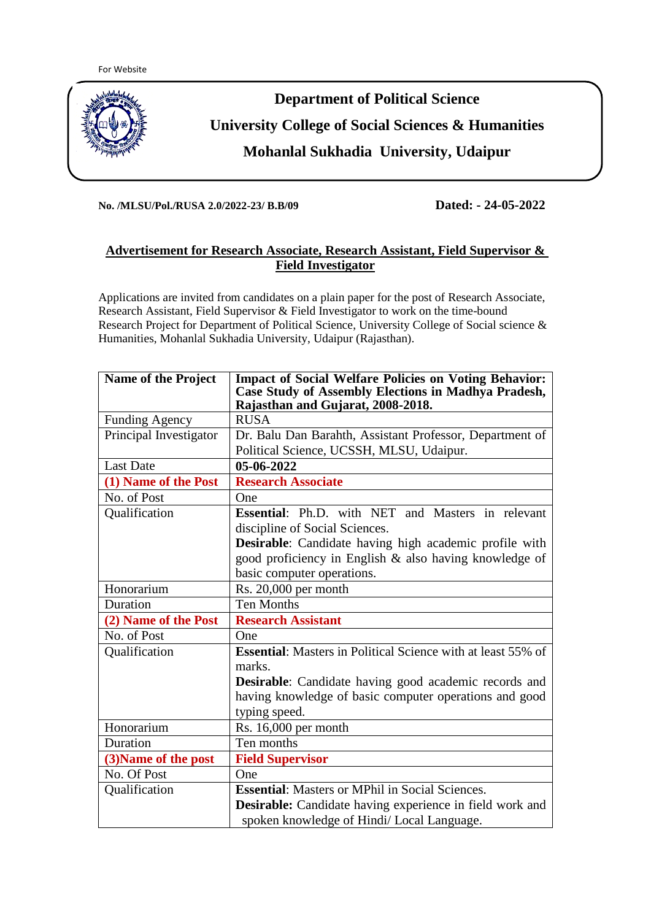

**No. /MLSU/Pol./RUSA 2.0/2022-23/ B.B/09 Dated: - 24-05-2022**

## **Advertisement for Research Associate, Research Assistant, Field Supervisor & Field Investigator**

Applications are invited from candidates on a plain paper for the post of Research Associate, Research Assistant, Field Supervisor & Field Investigator to work on the time-bound Research Project for Department of Political Science, University College of Social science & Humanities, Mohanlal Sukhadia University, Udaipur (Rajasthan).

| <b>Name of the Project</b> | <b>Impact of Social Welfare Policies on Voting Behavior:</b><br>Case Study of Assembly Elections in Madhya Pradesh,<br>Rajasthan and Gujarat, 2008-2018. |
|----------------------------|----------------------------------------------------------------------------------------------------------------------------------------------------------|
| <b>Funding Agency</b>      | <b>RUSA</b>                                                                                                                                              |
| Principal Investigator     | Dr. Balu Dan Barahth, Assistant Professor, Department of                                                                                                 |
|                            | Political Science, UCSSH, MLSU, Udaipur.                                                                                                                 |
| <b>Last Date</b>           | 05-06-2022                                                                                                                                               |
| (1) Name of the Post       | <b>Research Associate</b>                                                                                                                                |
| No. of Post                | One                                                                                                                                                      |
| Qualification              | Essential: Ph.D. with NET and Masters in relevant                                                                                                        |
|                            | discipline of Social Sciences.                                                                                                                           |
|                            | Desirable: Candidate having high academic profile with                                                                                                   |
|                            | good proficiency in English & also having knowledge of                                                                                                   |
|                            | basic computer operations.                                                                                                                               |
| Honorarium                 | Rs. 20,000 per month                                                                                                                                     |
| Duration                   | <b>Ten Months</b>                                                                                                                                        |
| (2) Name of the Post       | <b>Research Assistant</b>                                                                                                                                |
| No. of Post                | One                                                                                                                                                      |
| Qualification              | <b>Essential:</b> Masters in Political Science with at least 55% of                                                                                      |
|                            | marks.                                                                                                                                                   |
|                            | <b>Desirable:</b> Candidate having good academic records and                                                                                             |
|                            | having knowledge of basic computer operations and good                                                                                                   |
|                            | typing speed.                                                                                                                                            |
| Honorarium                 | Rs. 16,000 per month                                                                                                                                     |
| Duration                   | Ten months                                                                                                                                               |
| (3) Name of the post       | <b>Field Supervisor</b>                                                                                                                                  |
| No. Of Post                | One                                                                                                                                                      |
| Qualification              | <b>Essential:</b> Masters or MPhil in Social Sciences.                                                                                                   |
|                            | Desirable: Candidate having experience in field work and                                                                                                 |
|                            | spoken knowledge of Hindi/Local Language.                                                                                                                |